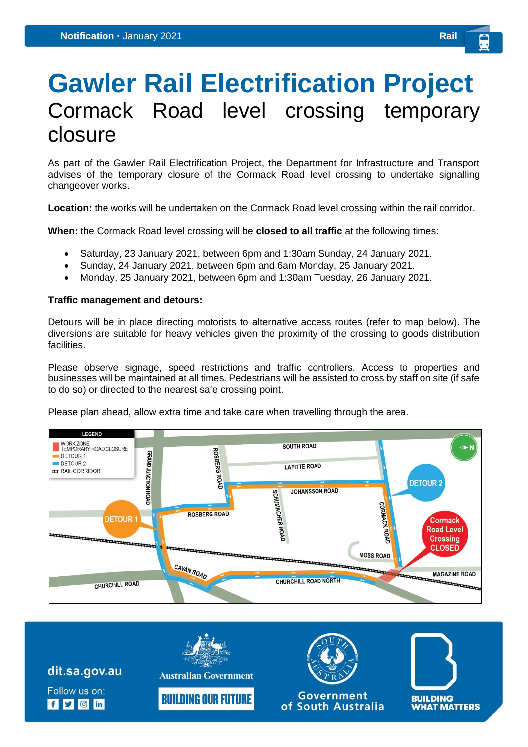## **Gawler Rail Electrification Project** Cormack Road level crossing temporary closure

As part of the Gawler Rail Electrification Project, the Department for Infrastructure and Transport advises of the temporary closure of the Cormack Road level crossing to undertake signalling changeover works.

**Location:** the works will be undertaken on the Cormack Road level crossing within the rail corridor.

**When:** the Cormack Road level crossing will be **closed to all traffic** at the following times:

- Saturday, 23 January 2021, between 6pm and 1:30am Sunday, 24 January 2021.
- Sunday, 24 January 2021, between 6pm and 6am Monday, 25 January 2021.
- Monday, 25 January 2021, between 6pm and 1:30am Tuesday, 26 January 2021.

## **Traffic management and detours:**

Detours will be in place directing motorists to alternative access routes (refer to map below). The diversions are suitable for heavy vehicles given the proximity of the crossing to goods distribution facilities.

Please observe signage, speed restrictions and traffic controllers. Access to properties and businesses will be maintained at all times. Pedestrians will be assisted to cross by staff on site (if safe to do so) or directed to the nearest safe crossing point.

Please plan ahead, allow extra time and take care when travelling through the area.